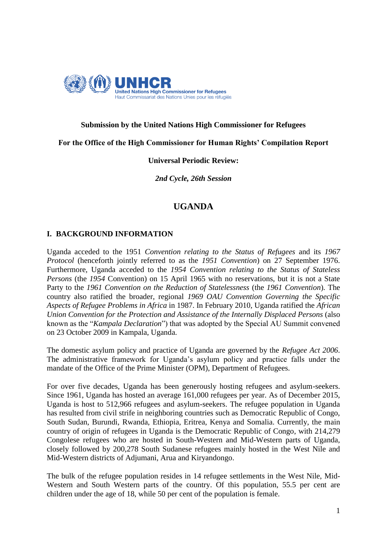

# **Submission by the United Nations High Commissioner for Refugees**

**For the Office of the High Commissioner for Human Rights' Compilation Report**

## **Universal Periodic Review:**

*2nd Cycle, 26th Session*

# **UGANDA**

# **I. BACKGROUND INFORMATION**

Uganda acceded to the 1951 *Convention relating to the Status of Refugees* and its *1967 Protocol* (henceforth jointly referred to as the *1951 Convention*) on 27 September 1976. Furthermore, Uganda acceded to the *1954 Convention relating to the Status of Stateless Persons* (the *1954* Convention) on 15 April 1965 with no reservations, but it is not a State Party to the *1961 Convention on the Reduction of Statelessness* (the *1961 Convention*)*.* The country also ratified the broader, regional *1969 OAU Convention Governing the Specific Aspects of Refugee Problems in Africa* in 1987. In February 2010, Uganda ratified the *African Union Convention for the Protection and Assistance of the Internally Displaced Persons* (also known as the "*Kampala Declaration*") that was adopted by the Special AU Summit convened on 23 October 2009 in Kampala, Uganda.

The domestic asylum policy and practice of Uganda are governed by the *Refugee Act 2006*. The administrative framework for Uganda's asylum policy and practice falls under the mandate of the Office of the Prime Minister (OPM), Department of Refugees.

For over five decades, Uganda has been generously hosting refugees and asylum-seekers. Since 1961, Uganda has hosted an average 161,000 refugees per year. As of December 2015, Uganda is host to 512,966 refugees and asylum-seekers. The refugee population in Uganda has resulted from civil strife in neighboring countries such as Democratic Republic of Congo, South Sudan, Burundi, Rwanda, Ethiopia, Eritrea, Kenya and Somalia. Currently, the main country of origin of refugees in Uganda is the Democratic Republic of Congo, with 214,279 Congolese refugees who are hosted in South-Western and Mid-Western parts of Uganda, closely followed by 200,278 South Sudanese refugees mainly hosted in the West Nile and Mid-Western districts of Adjumani, Arua and Kiryandongo.

The bulk of the refugee population resides in 14 refugee settlements in the West Nile, Mid-Western and South Western parts of the country. Of this population, 55.5 per cent are children under the age of 18, while 50 per cent of the population is female.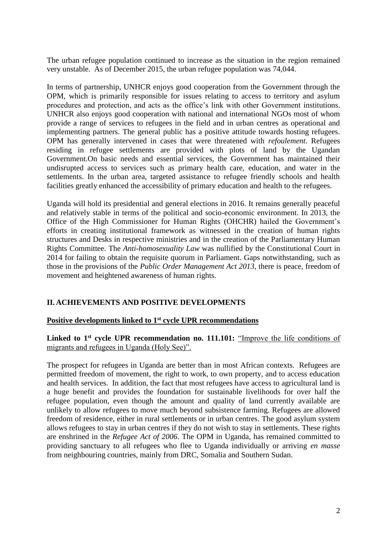The urban refugee population continued to increase as the situation in the region remained very unstable. As of December 2015, the urban refugee population was 74,044.

In terms of partnership, UNHCR enjoys good cooperation from the Government through the OPM, which is primarily responsible for issues relating to access to territory and asylum procedures and protection, and acts as the office's link with other Government institutions. UNHCR also enjoys good cooperation with national and international NGOs most of whom provide a range of services to refugees in the field and in urban centres as operational and implementing partners. The general public has a positive attitude towards hosting refugees. OPM has generally intervened in cases that were threatened with *refoulement*. Refugees residing in refugee settlements are provided with plots of land by the Ugandan Government.On basic needs and essential services, the Government has maintained their undisrupted access to services such as primary health care, education, and water in the settlements. In the urban area, targeted assistance to refugee friendly schools and health facilities greatly enhanced the accessibility of primary education and health to the refugees.

Uganda will hold its presidential and general elections in 2016. It remains generally peaceful and relatively stable in terms of the political and socio-economic environment. In 2013, the Office of the High Commissioner for Human Rights (OHCHR) hailed the Government's efforts in creating institutional framework as witnessed in the creation of human rights structures and Desks in respective ministries and in the creation of the Parliamentary Human Rights Committee. The *Anti-homosexuality Law* was nullified by the Constitutional Court in 2014 for failing to obtain the requisite quorum in Parliament. Gaps notwithstanding, such as those in the provisions of the *Public Order Management Act 2013*, there is peace, freedom of movement and heightened awareness of human rights.

### **II. ACHIEVEMENTS AND POSITIVE DEVELOPMENTS**

### **Positive developments linked to 1st cycle UPR recommendations**

# Linked to 1<sup>st</sup> cycle UPR recommendation no. 111.101: "Improve the life conditions of migrants and refugees in Uganda (Holy See)".

The prospect for refugees in Uganda are better than in most African contexts. Refugees are permitted freedom of movement, the right to work, to own property, and to access education and health services. In addition, the fact that most refugees have access to agricultural land is a huge benefit and provides the foundation for sustainable livelihoods for over half the refugee population, even though the amount and quality of land currently available are unlikely to allow refugees to move much beyond subsistence farming. Refugees are allowed freedom of residence, either in rural settlements or in urban centres. The good asylum system allows refugees to stay in urban centres if they do not wish to stay in settlements. These rights are enshrined in the *Refugee Act of 2006*. The OPM in Uganda, has remained committed to providing sanctuary to all refugees who flee to Uganda individually or arriving *en masse* from neighbouring countries, mainly from DRC, Somalia and Southern Sudan.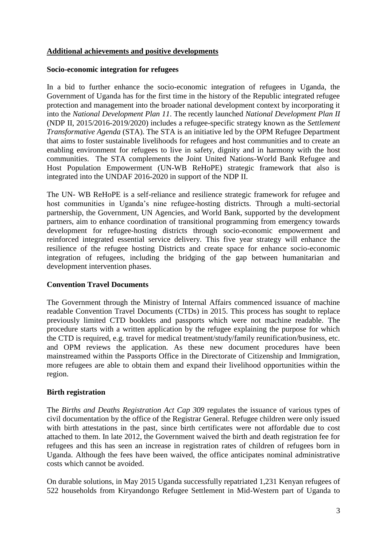## **Additional achievements and positive developments**

### **Socio-economic integration for refugees**

In a bid to further enhance the socio-economic integration of refugees in Uganda, the Government of Uganda has for the first time in the history of the Republic integrated refugee protection and management into the broader national development context by incorporating it into the *National Development Plan 11*. The recently launched *National Development Plan II*  (NDP II, 2015/2016-2019/2020) includes a refugee-specific strategy known as the *Settlement Transformative Agenda* (STA). The STA is an initiative led by the OPM Refugee Department that aims to foster sustainable livelihoods for refugees and host communities and to create an enabling environment for refugees to live in safety, dignity and in harmony with the host communities. The STA complements the Joint United Nations-World Bank Refugee and Host Population Empowerment (UN-WB ReHoPE) strategic framework that also is integrated into the UNDAF 2016-2020 in support of the NDP II.

The UN- WB ReHoPE is a self-reliance and resilience strategic framework for refugee and host communities in Uganda's nine refugee-hosting districts. Through a multi-sectorial partnership, the Government, UN Agencies, and World Bank, supported by the development partners, aim to enhance coordination of transitional programming from emergency towards development for refugee-hosting districts through socio-economic empowerment and reinforced integrated essential service delivery. This five year strategy will enhance the resilience of the refugee hosting Districts and create space for enhance socio-economic integration of refugees, including the bridging of the gap between humanitarian and development intervention phases.

# **Convention Travel Documents**

The Government through the Ministry of Internal Affairs commenced issuance of machine readable Convention Travel Documents (CTDs) in 2015. This process has sought to replace previously limited CTD booklets and passports which were not machine readable. The procedure starts with a written application by the refugee explaining the purpose for which the CTD is required, e.g. travel for medical treatment/study/family reunification/business, etc. and OPM reviews the application. As these new document procedures have been mainstreamed within the Passports Office in the Directorate of Citizenship and Immigration, more refugees are able to obtain them and expand their livelihood opportunities within the region.

### **Birth registration**

The *Births and Deaths Registration Act Cap 309* regulates the issuance of various types of civil documentation by the office of the Registrar General. Refugee children were only issued with birth attestations in the past, since birth certificates were not affordable due to cost attached to them. In late 2012, the Government waived the birth and death registration fee for refugees and this has seen an increase in registration rates of children of refugees born in Uganda. Although the fees have been waived, the office anticipates nominal administrative costs which cannot be avoided.

On durable solutions, in May 2015 Uganda successfully repatriated 1,231 Kenyan refugees of 522 households from Kiryandongo Refugee Settlement in Mid-Western part of Uganda to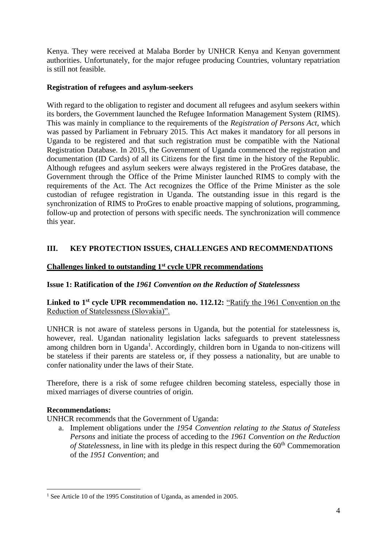Kenya. They were received at Malaba Border by UNHCR Kenya and Kenyan government authorities. Unfortunately, for the major refugee producing Countries, voluntary repatriation is still not feasible.

# **Registration of refugees and asylum-seekers**

With regard to the obligation to register and document all refugees and asylum seekers within its borders, the Government launched the Refugee Information Management System (RIMS). This was mainly in compliance to the requirements of the *Registration of Persons Act*, which was passed by Parliament in February 2015. This Act makes it mandatory for all persons in Uganda to be registered and that such registration must be compatible with the National Registration Database. In 2015, the Government of Uganda commenced the registration and documentation (ID Cards) of all its Citizens for the first time in the history of the Republic. Although refugees and asylum seekers were always registered in the ProGres database, the Government through the Office of the Prime Minister launched RIMS to comply with the requirements of the Act. The Act recognizes the Office of the Prime Minister as the sole custodian of refugee registration in Uganda. The outstanding issue in this regard is the synchronization of RIMS to ProGres to enable proactive mapping of solutions, programming, follow-up and protection of persons with specific needs. The synchronization will commence this year.

# **III. KEY PROTECTION ISSUES, CHALLENGES AND RECOMMENDATIONS**

## **Challenges linked to outstanding 1st cycle UPR recommendations**

# **Issue 1: Ratification of the** *1961 Convention on the Reduction of Statelessness*

## **Linked to 1st cycle UPR recommendation no. 112.12:** "Ratify the 1961 Convention on the Reduction of Statelessness (Slovakia)".

UNHCR is not aware of stateless persons in Uganda, but the potential for statelessness is, however, real. Ugandan nationality legislation lacks safeguards to prevent statelessness among children born in Uganda<sup>1</sup>. Accordingly, children born in Uganda to non-citizens will be stateless if their parents are stateless or, if they possess a nationality, but are unable to confer nationality under the laws of their State.

Therefore, there is a risk of some refugee children becoming stateless, especially those in mixed marriages of diverse countries of origin.

### **Recommendations:**

UNHCR recommends that the Government of Uganda:

a. Implement obligations under the *1954 Convention relating to the Status of Stateless Persons* and initiate the process of acceding to the *1961 Convention on the Reduction of Statelessness,* in line with its pledge in this respect during the 60<sup>th</sup> Commemoration of the *1951 Convention*; and

**<sup>.</sup>** <sup>1</sup> See Article 10 of the 1995 Constitution of Uganda, as amended in 2005.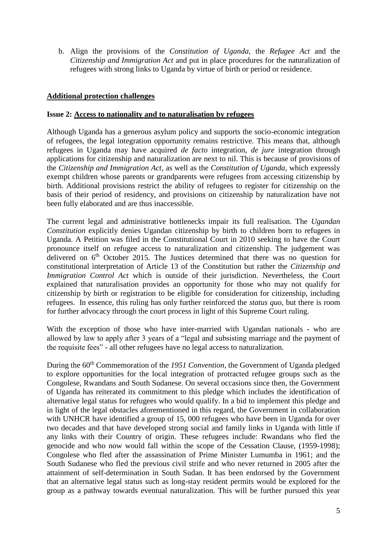b. Align the provisions of the *Constitution of Uganda*, the *Refugee Act* and the *Citizenship and Immigration Act* and put in place procedures for the naturalization of refugees with strong links to Uganda by virtue of birth or period or residence.

## **Additional protection challenges**

#### **Issue 2: Access to nationality and to naturalisation by refugees**

Although Uganda has a generous asylum policy and supports the socio-economic integration of refugees, the legal integration opportunity remains restrictive. This means that, although refugees in Uganda may have acquired *de facto* integration, *de jure* integration through applications for citizenship and naturalization are next to nil. This is because of provisions of the *Citizenship and Immigration Act*, as well as the *Constitution of Uganda,* which expressly exempt children whose parents or grandparents were refugees from accessing citizenship by birth. Additional provisions restrict the ability of refugees to register for citizenship on the basis of their period of residency, and provisions on citizenship by naturalization have not been fully elaborated and are thus inaccessible.

The current legal and administrative bottlenecks impair its full realisation. The *Ugandan Constitution* explicitly denies Ugandan citizenship by birth to children born to refugees in Uganda. A Petition was filed in the Constitutional Court in 2010 seeking to have the Court pronounce itself on refugee access to naturalization and citizenship. The judgement was delivered on  $6<sup>th</sup>$  October 2015. The Justices determined that there was no question for constitutional interpretation of Article 13 of the Constitution but rather the *Citizenship and Immigration Control Act* which is outside of their jurisdiction. Nevertheless, the Court explained that naturalisation provides an opportunity for those who may not qualify for citizenship by birth or registration to be eligible for consideration for citizenship, including refugees. In essence, this ruling has only further reinforced the *status quo*, but there is room for further advocacy through the court process in light of this Supreme Court ruling.

With the exception of those who have inter-married with Ugandan nationals - who are allowed by law to apply after 3 years of a "legal and subsisting marriage and the payment of the requisite fees" - all other refugees have no legal access to naturalization.

During the 60<sup>th</sup> Commemoration of the *1951 Convention*, the Government of Uganda pledged to explore opportunities for the local integration of protracted refugee groups such as the Congolese, Rwandans and South Sudanese. On several occasions since then, the Government of Uganda has reiterated its commitment to this pledge which includes the identification of alternative legal status for refugees who would qualify. In a bid to implement this pledge and in light of the legal obstacles aforementioned in this regard, the Government in collaboration with UNHCR have identified a group of 15, 000 refugees who have been in Uganda for over two decades and that have developed strong social and family links in Uganda with little if any links with their Country of origin. These refugees include: Rwandans who fled the genocide and who now would fall within the scope of the Cessation Clause, (1959-1998); Congolese who fled after the assassination of Prime Minister Lumumba in 1961; and the South Sudanese who fled the previous civil strife and who never returned in 2005 after the attainment of self-determination in South Sudan. It has been endorsed by the Government that an alternative legal status such as long-stay resident permits would be explored for the group as a pathway towards eventual naturalization. This will be further pursued this year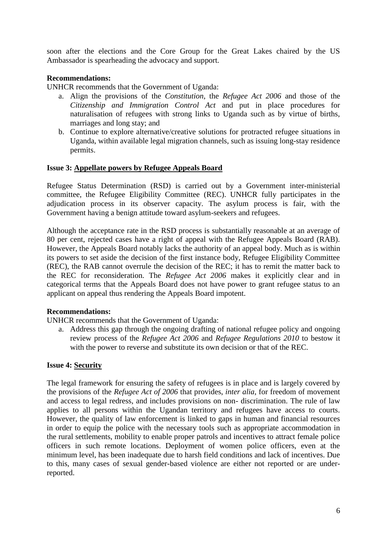soon after the elections and the Core Group for the Great Lakes chaired by the US Ambassador is spearheading the advocacy and support.

## **Recommendations:**

UNHCR recommends that the Government of Uganda:

- a. Align the provisions of the *Constitution*, the *Refugee Act 2006* and those of the *Citizenship and Immigration Control Act* and put in place procedures for naturalisation of refugees with strong links to Uganda such as by virtue of births, marriages and long stay; and
- b. Continue to explore alternative/creative solutions for protracted refugee situations in Uganda, within available legal migration channels, such as issuing long-stay residence permits.

### **Issue 3: Appellate powers by Refugee Appeals Board**

Refugee Status Determination (RSD) is carried out by a Government inter-ministerial committee, the Refugee Eligibility Committee (REC). UNHCR fully participates in the adjudication process in its observer capacity. The asylum process is fair, with the Government having a benign attitude toward asylum-seekers and refugees.

Although the acceptance rate in the RSD process is substantially reasonable at an average of 80 per cent, rejected cases have a right of appeal with the Refugee Appeals Board (RAB). However, the Appeals Board notably lacks the authority of an appeal body. Much as is within its powers to set aside the decision of the first instance body, Refugee Eligibility Committee (REC), the RAB cannot overrule the decision of the REC; it has to remit the matter back to the REC for reconsideration. The *Refugee Act 2006* makes it explicitly clear and in categorical terms that the Appeals Board does not have power to grant refugee status to an applicant on appeal thus rendering the Appeals Board impotent.

### **Recommendations:**

UNHCR recommends that the Government of Uganda:

a. Address this gap through the ongoing drafting of national refugee policy and ongoing review process of the *Refugee Act 2006* and *Refugee Regulations 2010* to bestow it with the power to reverse and substitute its own decision or that of the REC.

### **Issue 4: Security**

The legal framework for ensuring the safety of refugees is in place and is largely covered by the provisions of the *Refugee Act of 2006* that provides, *inter alia*, for freedom of movement and access to legal redress, and includes provisions on non- discrimination. The rule of law applies to all persons within the Ugandan territory and refugees have access to courts. However, the quality of law enforcement is linked to gaps in human and financial resources in order to equip the police with the necessary tools such as appropriate accommodation in the rural settlements, mobility to enable proper patrols and incentives to attract female police officers in such remote locations. Deployment of women police officers, even at the minimum level, has been inadequate due to harsh field conditions and lack of incentives. Due to this, many cases of sexual gender-based violence are either not reported or are underreported.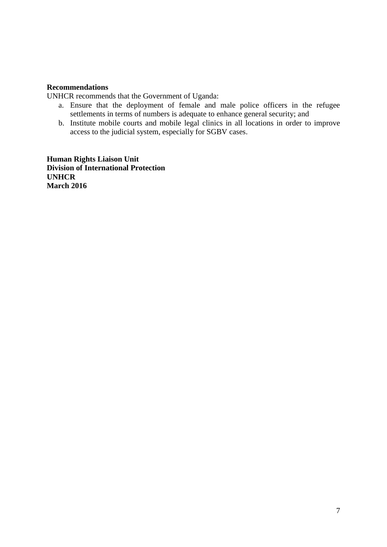### **Recommendations**

UNHCR recommends that the Government of Uganda:

- a. Ensure that the deployment of female and male police officers in the refugee settlements in terms of numbers is adequate to enhance general security; and
- b. Institute mobile courts and mobile legal clinics in all locations in order to improve access to the judicial system, especially for SGBV cases.

**Human Rights Liaison Unit Division of International Protection UNHCR March 2016**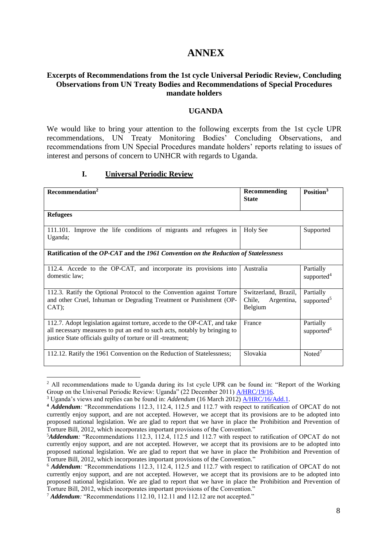# **ANNEX**

### **Excerpts of Recommendations from the 1st cycle Universal Periodic Review, Concluding Observations from UN Treaty Bodies and Recommendations of Special Procedures mandate holders**

#### **UGANDA**

We would like to bring your attention to the following excerpts from the 1st cycle UPR recommendations, UN Treaty Monitoring Bodies' Concluding Observations, and recommendations from UN Special Procedures mandate holders' reports relating to issues of interest and persons of concern to UNHCR with regards to Uganda.

#### **I. Universal Periodic Review**

| Recommendation <sup>2</sup>                                                                                                                                                                                           | <b>Recommending</b><br><b>State</b>                     | Position <sup>3</sup>               |  |  |
|-----------------------------------------------------------------------------------------------------------------------------------------------------------------------------------------------------------------------|---------------------------------------------------------|-------------------------------------|--|--|
| <b>Refugees</b>                                                                                                                                                                                                       |                                                         |                                     |  |  |
| 111.101. Improve the life conditions of migrants and refugees in<br>Uganda;                                                                                                                                           | <b>Holy See</b>                                         | Supported                           |  |  |
| Ratification of the OP-CAT and the 1961 Convention on the Reduction of Statelessness                                                                                                                                  |                                                         |                                     |  |  |
| 112.4. Accede to the OP-CAT, and incorporate its provisions into<br>domestic law:                                                                                                                                     | Australia                                               | Partially<br>supported <sup>4</sup> |  |  |
| 112.3. Ratify the Optional Protocol to the Convention against Torture<br>and other Cruel, Inhuman or Degrading Treatment or Punishment (OP-<br>CAT);                                                                  | Switzerland, Brazil,<br>Chile,<br>Argentina,<br>Belgium | Partially<br>supported <sup>5</sup> |  |  |
| 112.7. Adopt legislation against torture, accede to the OP-CAT, and take<br>all necessary measures to put an end to such acts, notably by bringing to<br>justice State officials guilty of torture or ill -treatment; | France                                                  | Partially<br>supported <sup>6</sup> |  |  |
| 112.12. Ratify the 1961 Convention on the Reduction of Statelessness;                                                                                                                                                 | Slovakia                                                | $Noted^7$                           |  |  |

**<sup>.</sup>** <sup>2</sup> All recommendations made to Uganda during its 1st cycle UPR can be found in: "Report of the Working Group on the Universal Periodic Review: Uganda" (22 December 2011) [A/HRC/19/16.](http://www.ohchr.org/EN/HRBodies/UPR/Pages/UGSession12.aspx)

<sup>3</sup> Uganda's views and replies can be found in: *Addendum* (16 March 2012) [A/HRC/16/Add.1.](http://www.ohchr.org/EN/HRBodies/UPR/Pages/UGSession12.aspx)

**<sup>4</sup>** *Addendum:* "Recommendations 112.3, 112.4, 112.5 and 112.7 with respect to ratification of OPCAT do not currently enjoy support, and are not accepted. However, we accept that its provisions are to be adopted into proposed national legislation. We are glad to report that we have in place the Prohibition and Prevention of Torture Bill, 2012, which incorporates important provisions of the Convention."

<sup>5</sup>*Addendum:* "Recommendations 112.3, 112.4, 112.5 and 112.7 with respect to ratification of OPCAT do not currently enjoy support, and are not accepted. However, we accept that its provisions are to be adopted into proposed national legislation. We are glad to report that we have in place the Prohibition and Prevention of Torture Bill, 2012, which incorporates important provisions of the Convention."

<sup>6</sup> *Addendum:* "Recommendations 112.3, 112.4, 112.5 and 112.7 with respect to ratification of OPCAT do not currently enjoy support, and are not accepted. However, we accept that its provisions are to be adopted into proposed national legislation. We are glad to report that we have in place the Prohibition and Prevention of Torture Bill, 2012, which incorporates important provisions of the Convention."

<sup>&</sup>lt;sup>7</sup> *Addendum*: "Recommendations 112.10, 112.11 and 112.12 are not accepted."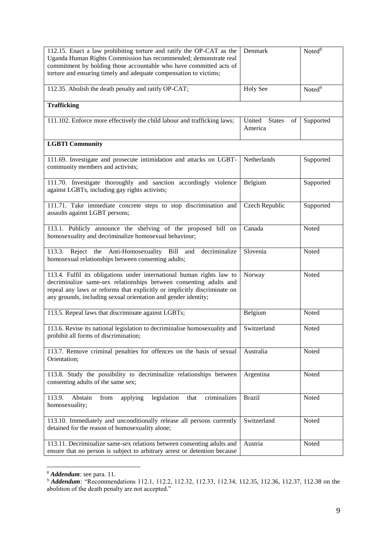| 112.15. Enact a law prohibiting torture and ratify the OP-CAT as the<br>Uganda Human Rights Commission has recommended; demonstrate real<br>commitment by holding those accountable who have committed acts of<br>torture and ensuring timely and adequate compensation to victims;       | Denmark                                  | Noted <sup>8</sup> |  |  |
|-------------------------------------------------------------------------------------------------------------------------------------------------------------------------------------------------------------------------------------------------------------------------------------------|------------------------------------------|--------------------|--|--|
| 112.35. Abolish the death penalty and ratify OP-CAT;                                                                                                                                                                                                                                      | <b>Holy See</b>                          | Noted <sup>9</sup> |  |  |
| <b>Trafficking</b>                                                                                                                                                                                                                                                                        |                                          |                    |  |  |
| 111.102. Enforce more effectively the child labour and trafficking laws;                                                                                                                                                                                                                  | United<br><b>States</b><br>of<br>America | Supported          |  |  |
| <b>LGBTI Community</b>                                                                                                                                                                                                                                                                    |                                          |                    |  |  |
| 111.69. Investigate and prosecute intimidation and attacks on LGBT-<br>community members and activists;                                                                                                                                                                                   | Netherlands                              | Supported          |  |  |
| 111.70. Investigate thoroughly and sanction accordingly violence<br>against LGBTs, including gay rights activists;                                                                                                                                                                        | Belgium                                  | Supported          |  |  |
| 111.71. Take immediate concrete steps to stop discrimination and<br>assaults against LGBT persons;                                                                                                                                                                                        | Czech Republic                           | Supported          |  |  |
| 113.1. Publicly announce the shelving of the proposed bill on<br>homosexuality and decriminalize homosexual behaviour;                                                                                                                                                                    | Canada                                   | Noted              |  |  |
| 113.3. Reject the Anti-Homosexuality Bill and<br>decriminalize<br>homosexual relationships between consenting adults;                                                                                                                                                                     | Slovenia                                 | Noted              |  |  |
| 113.4. Fulfil its obligations under international human rights law to<br>decriminalize same-sex relationships between consenting adults and<br>repeal any laws or reforms that explicitly or implicitly discriminate on<br>any grounds, including sexual orientation and gender identity; | Norway                                   | Noted              |  |  |
| 113.5. Repeal laws that discriminate against LGBTs;                                                                                                                                                                                                                                       | Belgium                                  | Noted              |  |  |
| 113.6. Revise its national legislation to decriminalise homosexuality and<br>prohibit all forms of discrimination;                                                                                                                                                                        | Switzerland                              | Noted              |  |  |
| 113.7. Remove criminal penalties for offences on the basis of sexual<br>Orientation;                                                                                                                                                                                                      | Australia                                | Noted              |  |  |
| 113.8. Study the possibility to decriminalize relationships between<br>consenting adults of the same sex;                                                                                                                                                                                 | Argentina                                | Noted              |  |  |
| legislation<br>criminalizes<br>Abstain<br>113.9.<br>applying<br>that<br>from<br>homosexuality;                                                                                                                                                                                            | <b>Brazil</b>                            | Noted              |  |  |
| 113.10. Immediately and unconditionally release all persons currently<br>detained for the reason of homosexuality alone;                                                                                                                                                                  | Switzerland                              | Noted              |  |  |
| 113.11. Decriminalize same-sex relations between consenting adults and<br>ensure that no person is subject to arbitrary arrest or detention because                                                                                                                                       | Austria                                  | Noted              |  |  |

<sup>8</sup> *Addendum*: see para. 11.

**.** 

<sup>&</sup>lt;sup>9</sup> **Addendum**: "Recommendations 112.1, 112.2, 112.32, 112.33, 112.34, 112.35, 112.36, 112.37, 112.38 on the abolition of the death penalty are not accepted."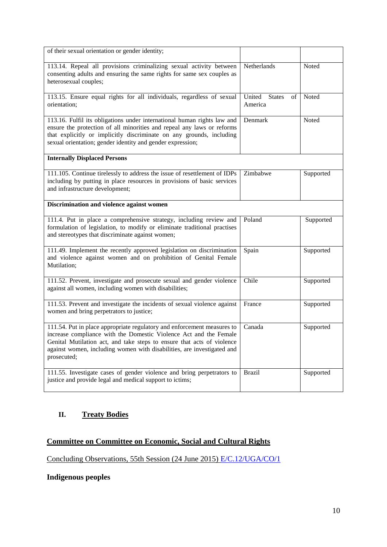| of their sexual orientation or gender identity;                                                                                                                                                                                                                                                                 |                                |           |  |  |
|-----------------------------------------------------------------------------------------------------------------------------------------------------------------------------------------------------------------------------------------------------------------------------------------------------------------|--------------------------------|-----------|--|--|
| 113.14. Repeal all provisions criminalizing sexual activity between<br>consenting adults and ensuring the same rights for same sex couples as<br>heterosexual couples;                                                                                                                                          | Netherlands                    | Noted     |  |  |
| 113.15. Ensure equal rights for all individuals, regardless of sexual<br>orientation;                                                                                                                                                                                                                           | United States<br>of<br>America | Noted     |  |  |
| 113.16. Fulfil its obligations under international human rights law and<br>ensure the protection of all minorities and repeal any laws or reforms<br>that explicitly or implicitly discriminate on any grounds, including<br>sexual orientation; gender identity and gender expression;                         | Denmark                        | Noted     |  |  |
| <b>Internally Displaced Persons</b>                                                                                                                                                                                                                                                                             |                                |           |  |  |
| 111.105. Continue tirelessly to address the issue of resettlement of IDPs<br>including by putting in place resources in provisions of basic services<br>and infrastructure development;                                                                                                                         | Zimbabwe                       | Supported |  |  |
| Discrimination and violence against women                                                                                                                                                                                                                                                                       |                                |           |  |  |
| 111.4. Put in place a comprehensive strategy, including review and<br>formulation of legislation, to modify or eliminate traditional practises<br>and stereotypes that discriminate against women;                                                                                                              | Poland                         | Supported |  |  |
| 111.49. Implement the recently approved legislation on discrimination<br>and violence against women and on prohibition of Genital Female<br>Mutilation;                                                                                                                                                         | Spain                          | Supported |  |  |
| 111.52. Prevent, investigate and prosecute sexual and gender violence<br>against all women, including women with disabilities;                                                                                                                                                                                  | Chile                          | Supported |  |  |
| 111.53. Prevent and investigate the incidents of sexual violence against<br>women and bring perpetrators to justice;                                                                                                                                                                                            | France                         | Supported |  |  |
| 111.54. Put in place appropriate regulatory and enforcement measures to<br>increase compliance with the Domestic Violence Act and the Female<br>Genital Mutilation act, and take steps to ensure that acts of violence<br>against women, including women with disabilities, are investigated and<br>prosecuted; | Canada                         | Supported |  |  |
| 111.55. Investigate cases of gender violence and bring perpetrators to<br>justice and provide legal and medical support to ictims;                                                                                                                                                                              | <b>Brazil</b>                  | Supported |  |  |

# **II. Treaty Bodies**

# **Committee on Committee on Economic, Social and Cultural Rights**

Concluding Observations, 55th Session (24 June 2015) [E/C.12/UGA/CO/1](http://tbinternet.ohchr.org/_layouts/treatybodyexternal/Download.aspx?symbolno=E%2fC.12%2fUGA%2fCO%2f1&Lang=en)

# **Indigenous peoples**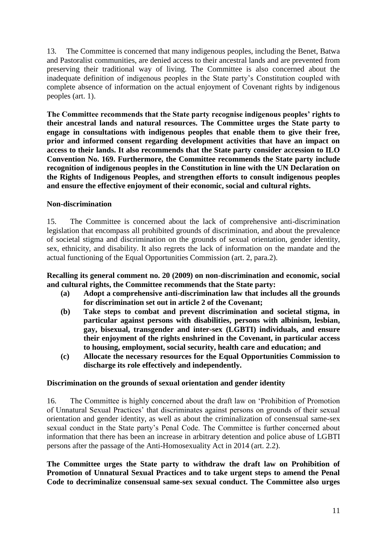13. The Committee is concerned that many indigenous peoples, including the Benet, Batwa and Pastoralist communities, are denied access to their ancestral lands and are prevented from preserving their traditional way of living. The Committee is also concerned about the inadequate definition of indigenous peoples in the State party's Constitution coupled with complete absence of information on the actual enjoyment of Covenant rights by indigenous peoples (art. 1).

**The Committee recommends that the State party recognise indigenous peoples' rights to their ancestral lands and natural resources. The Committee urges the State party to engage in consultations with indigenous peoples that enable them to give their free, prior and informed consent regarding development activities that have an impact on access to their lands. It also recommends that the State party consider accession to ILO Convention No. 169. Furthermore, the Committee recommends the State party include recognition of indigenous peoples in the Constitution in line with the UN Declaration on the Rights of Indigenous Peoples, and strengthen efforts to consult indigenous peoples and ensure the effective enjoyment of their economic, social and cultural rights.**

## **Non-discrimination**

15. The Committee is concerned about the lack of comprehensive anti-discrimination legislation that encompass all prohibited grounds of discrimination, and about the prevalence of societal stigma and discrimination on the grounds of sexual orientation, gender identity, sex, ethnicity, and disability. It also regrets the lack of information on the mandate and the actual functioning of the Equal Opportunities Commission (art. 2, para.2).

**Recalling its general comment no. 20 (2009) on non-discrimination and economic, social and cultural rights, the Committee recommends that the State party:**

- **(a) Adopt a comprehensive anti-discrimination law that includes all the grounds for discrimination set out in article 2 of the Covenant;**
- **(b) Take steps to combat and prevent discrimination and societal stigma, in particular against persons with disabilities, persons with albinism, lesbian, gay, bisexual, transgender and inter-sex (LGBTI) individuals, and ensure their enjoyment of the rights enshrined in the Covenant, in particular access to housing, employment, social security, health care and education; and**
- **(c) Allocate the necessary resources for the Equal Opportunities Commission to discharge its role effectively and independently.**

### **Discrimination on the grounds of sexual orientation and gender identity**

16. The Committee is highly concerned about the draft law on 'Prohibition of Promotion of Unnatural Sexual Practices' that discriminates against persons on grounds of their sexual orientation and gender identity, as well as about the criminalization of consensual same-sex sexual conduct in the State party's Penal Code. The Committee is further concerned about information that there has been an increase in arbitrary detention and police abuse of LGBTI persons after the passage of the Anti-Homosexuality Act in 2014 (art. 2.2).

**The Committee urges the State party to withdraw the draft law on Prohibition of Promotion of Unnatural Sexual Practices and to take urgent steps to amend the Penal Code to decriminalize consensual same-sex sexual conduct. The Committee also urges**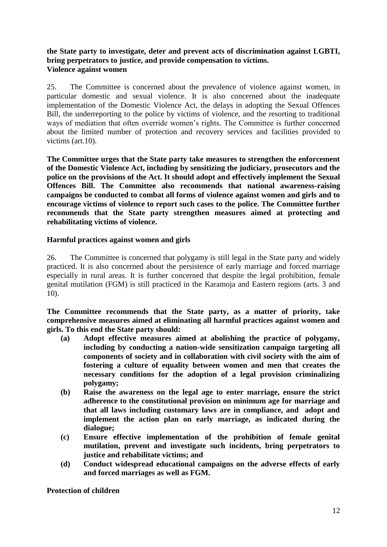# **the State party to investigate, deter and prevent acts of discrimination against LGBTI, bring perpetrators to justice, and provide compensation to victims. Violence against women**

25. The Committee is concerned about the prevalence of violence against women, in particular domestic and sexual violence. It is also concerned about the inadequate implementation of the Domestic Violence Act, the delays in adopting the Sexual Offences Bill, the underreporting to the police by victims of violence, and the resorting to traditional ways of mediation that often override women's rights. The Committee is further concerned about the limited number of protection and recovery services and facilities provided to victims (art.10).

**The Committee urges that the State party take measures to strengthen the enforcement of the Domestic Violence Act, including by sensitizing the judiciary, prosecutors and the police on the provisions of the Act. It should adopt and effectively implement the Sexual Offences Bill. The Committee also recommends that national awareness-raising campaigns be conducted to combat all forms of violence against women and girls and to encourage victims of violence to report such cases to the police. The Committee further recommends that the State party strengthen measures aimed at protecting and rehabilitating victims of violence.**

# **Harmful practices against women and girls**

26. The Committee is concerned that polygamy is still legal in the State party and widely practiced. It is also concerned about the persistence of early marriage and forced marriage especially in rural areas. It is further concerned that despite the legal prohibition, female genital mutilation (FGM) is still practiced in the Karamoja and Eastern regions (arts. 3 and 10).

**The Committee recommends that the State party, as a matter of priority, take comprehensive measures aimed at eliminating all harmful practices against women and girls. To this end the State party should:**

- **(a) Adopt effective measures aimed at abolishing the practice of polygamy, including by conducting a nation-wide sensitization campaign targeting all components of society and in collaboration with civil society with the aim of fostering a culture of equality between women and men that creates the necessary conditions for the adoption of a legal provision criminalizing polygamy;**
- **(b) Raise the awareness on the legal age to enter marriage, ensure the strict adherence to the constitutional provision on minimum age for marriage and that all laws including customary laws are in compliance, and adopt and implement the action plan on early marriage, as indicated during the dialogue;**
- **(c) Ensure effective implementation of the prohibition of female genital mutilation, prevent and investigate such incidents, bring perpetrators to justice and rehabilitate victims; and**
- **(d) Conduct widespread educational campaigns on the adverse effects of early and forced marriages as well as FGM.**

# **Protection of children**